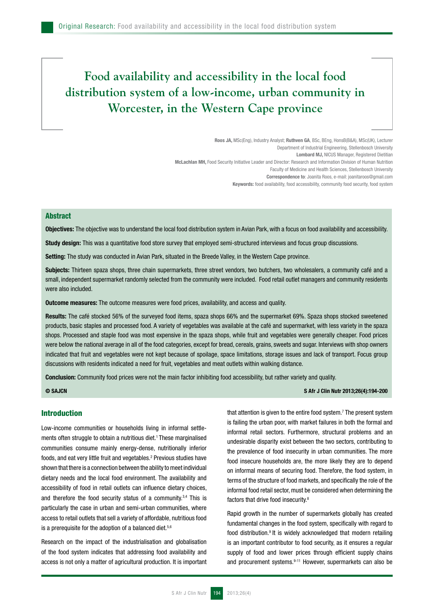# **Food availability and accessibility in the local food distribution system of a low-income, urban community in Worcester, in the Western Cape province**

Roos JA, MSc(Eng), Industry Analyst; Ruthven GA, BSc, BEng, HonsB(B&A), MSc(UK), Lecturer Department of Industrial Engineering, Stellenbosch University Lombard MJ, NICUS Manager, Registered Dietitian McLachlan MH, Food Security Initiative Leader and Director: Research and Information Division of Human Nutrition Faculty of Medicine and Health Sciences, Stellenbosch University Correspondence to: Joanita Roos, e-mail: joanitaroos@gmail.com Keywords: food availability, food accessibility, community food security, food system

# **Abstract**

Objectives: The objective was to understand the local food distribution system in Avian Park, with a focus on food availability and accessibility.

Study design: This was a quantitative food store survey that employed semi-structured interviews and focus group discussions.

Setting: The study was conducted in Avian Park, situated in the Breede Valley, in the Western Cape province.

Subjects: Thirteen spaza shops, three chain supermarkets, three street vendors, two butchers, two wholesalers, a community café and a small, independent supermarket randomly selected from the community were included. Food retail outlet managers and community residents were also included.

**Outcome measures:** The outcome measures were food prices, availability, and access and quality.

Results: The café stocked 56% of the surveyed food items, spaza shops 66% and the supermarket 69%. Spaza shops stocked sweetened products, basic staples and processed food. A variety of vegetables was available at the café and supermarket, with less variety in the spaza shops. Processed and staple food was most expensive in the spaza shops, while fruit and vegetables were generally cheaper. Food prices were below the national average in all of the food categories, except for bread, cereals, grains, sweets and sugar. Interviews with shop owners indicated that fruit and vegetables were not kept because of spoilage, space limitations, storage issues and lack of transport. Focus group discussions with residents indicated a need for fruit, vegetables and meat outlets within walking distance.

Conclusion: Community food prices were not the main factor inhibiting food accessibility, but rather variety and quality.

### © SAJCN SALCH STATES AND THE SALCH STATES AND THE SALCH STATES AND THE SALCH STATES AND THE SALCH STATES AND THE SALCH STATES AND THE SALCH STATES AND THE SALCH STATES AND THE SALCH STATES AND THE SALCH STATES AND THE SALC

#### Introduction

Low-income communities or households living in informal settlements often struggle to obtain a nutritious diet.<sup>1</sup> These marginalised communities consume mainly energy-dense, nutritionally inferior foods, and eat very little fruit and vegetables.<sup>2</sup> Previous studies have shown that there is a connection between the ability to meet individual dietary needs and the local food environment. The availability and accessibility of food in retail outlets can influence dietary choices, and therefore the food security status of a community.<sup>3,4</sup> This is particularly the case in urban and semi-urban communities, where access to retail outlets that sell a variety of affordable, nutritious food is a prerequisite for the adoption of a balanced diet.<sup>5,6</sup>

Research on the impact of the industrialisation and globalisation of the food system indicates that addressing food availability and access is not only a matter of agricultural production. It is important

that attention is given to the entire food system.7 The present system is failing the urban poor, with market failures in both the formal and informal retail sectors. Furthermore, structural problems and an undesirable disparity exist between the two sectors, contributing to the prevalence of food insecurity in urban communities. The more food insecure households are, the more likely they are to depend on informal means of securing food. Therefore, the food system, in terms of the structure of food markets, and specifically the role of the informal food retail sector, must be considered when determining the factors that drive food insecurity.8

Rapid growth in the number of supermarkets globally has created fundamental changes in the food system, specifically with regard to food distribution.9 It is widely acknowledged that modern retailing is an important contributor to food security, as it ensures a regular supply of food and lower prices through efficient supply chains and procurement systems.<sup>9-11</sup> However, supermarkets can also be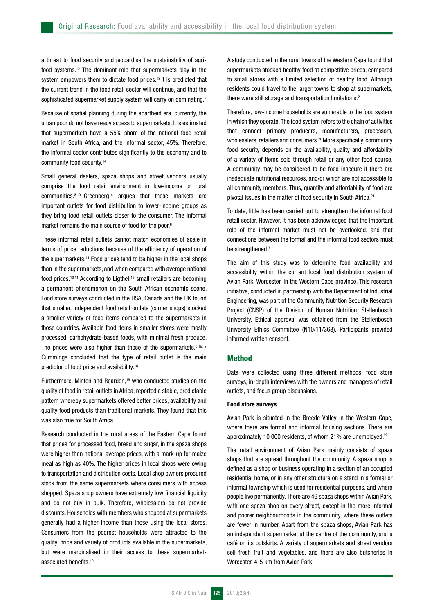a threat to food security and jeopardise the sustainability of agrifood systems.12 The dominant role that supermarkets play in the system empowers them to dictate food prices.<sup>13</sup> It is predicted that the current trend in the food retail sector will continue, and that the sophisticated supermarket supply system will carry on dominating.<sup>9</sup>

Because of spatial planning during the apartheid era, currently, the urban poor do not have ready access to supermarkets.It is estimated that supermarkets have a 55% share of the national food retail market in South Africa, and the informal sector, 45%. Therefore, the informal sector contributes significantly to the economy and to community food security.14

Small general dealers, spaza shops and street vendors usually comprise the food retail environment in low-income or rural communities.<sup>8,10</sup> Greenberg<sup>14</sup> argues that these markets are important outlets for food distribution to lower-income groups as they bring food retail outlets closer to the consumer. The informal market remains the main source of food for the poor.<sup>8</sup>

These informal retail outlets cannot match economies of scale in terms of price reductions because of the efficiency of operation of the supermarkets.<sup>11</sup> Food prices tend to be higher in the local shops than in the supermarkets, and when compared with average national food prices.10,11 According to Ligthel,15 small retailers are becoming a permanent phenomenon on the South African economic scene. Food store surveys conducted in the USA, Canada and the UK found that smaller, independent food retail outlets (corner shops) stocked a smaller variety of food items compared to the supermarkets in those countries. Available food items in smaller stores were mostly processed, carbohydrate-based foods, with minimal fresh produce. The prices were also higher than those of the supermarkets. 5,16,17 Cummings concluded that the type of retail outlet is the main predictor of food price and availability.18

Furthermore, Minten and Reardon.<sup>19</sup> who conducted studies on the quality of food in retail outlets in Africa, reported a stable, predictable pattern whereby supermarkets offered better prices, availability and quality food products than traditional markets. They found that this was also true for South Africa.

Research conducted in the rural areas of the Eastern Cape found that prices for processed food, bread and sugar, in the spaza shops were higher than national average prices, with a mark-up for maize meal as high as 40%. The higher prices in local shops were owing to transportation and distribution costs. Local shop owners procured stock from the same supermarkets where consumers with access shopped. Spaza shop owners have extremely low financial liquidity and do not buy in bulk. Therefore, wholesalers do not provide discounts. Households with members who shopped at supermarkets generally had a higher income than those using the local stores. Consumers from the poorest households were attracted to the quality, price and variety of products available in the supermarkets, but were marginalised in their access to these supermarketassociated benefits.<sup>10</sup>

A study conducted in the rural towns of the Western Cape found that supermarkets stocked healthy food at competitive prices, compared to small stores with a limited selection of healthy food. Although residents could travel to the larger towns to shop at supermarkets, there were still storage and transportation limitations.2

Therefore, low-income households are vulnerable to the food system in which they operate. The food system refers to the chain of activities that connect primary producers, manufacturers, processors, wholesalers, retailers and consumers.20 More specifically, community food security depends on the availability, quality and affordability of a variety of items sold through retail or any other food source. A community may be considered to be food insecure if there are inadequate nutritional resources, and/or which are not accessible to all community members. Thus, quantity and affordability of food are pivotal issues in the matter of food security in South Africa.21

To date, little has been carried out to strengthen the informal food retail sector. However, it has been acknowledged that the important role of the informal market must not be overlooked, and that connections between the formal and the informal food sectors must be strengthened.7

The aim of this study was to determine food availability and accessibility within the current local food distribution system of Avian Park, Worcester, in the Western Cape province. This research initiative, conducted in partnership with the Department of Industrial Engineering, was part of the Community Nutrition Security Research Project (CNSP) of the Division of Human Nutrition, Stellenbosch University. Ethical approval was obtained from the Stellenbosch University Ethics Committee (N10/11/368). Participants provided informed written consent.

# **Method**

Data were collected using three different methods: food store surveys, in-depth interviews with the owners and managers of retail outlets, and focus group discussions.

#### Food store surveys

Avian Park is situated in the Breede Valley in the Western Cape, where there are formal and informal housing sections. There are approximately 10 000 residents, of whom 21% are unemployed.<sup>22</sup>

The retail environment of Avian Park mainly consists of spaza shops that are spread throughout the community. A spaza shop is defined as a shop or business operating in a section of an occupied residential home, or in any other structure on a stand in a formal or informal township which is used for residential purposes, and where people live permanently. There are 46 spaza shops within Avian Park, with one spaza shop on every street, except in the more informal and poorer neighbourhoods in the community, where these outlets are fewer in number. Apart from the spaza shops, Avian Park has an independent supermarket at the centre of the community, and a café on its outskirts. A variety of supermarkets and street vendors sell fresh fruit and vegetables, and there are also butcheries in Worcester, 4-5 km from Avian Park.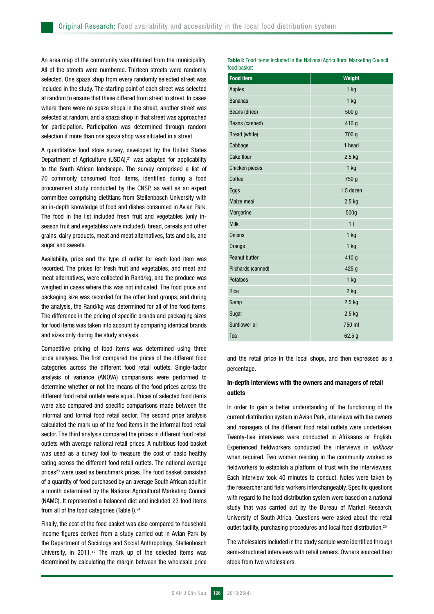An area map of the community was obtained from the municipality. All of the streets were numbered. Thirteen streets were randomly selected. One spaza shop from every randomly selected street was included in the study. The starting point of each street was selected at random to ensure that these differed from street to street. In cases where there were no spaza shops in the street, another street was selected at random, and a spaza shop in that street was approached for participation. Participation was determined through random selection if more than one spaza shop was situated in a street.

A quantitative food store survey, developed by the United States Department of Agriculture (USDA), $21$  was adapted for applicability to the South African landscape. The survey comprised a list of 70 commonly consumed food items, identified during a food procurement study conducted by the CNSP, as well as an expert committee comprising dietitians from Stellenbosch University with an in-depth knowledge of food and dishes consumed in Avian Park. The food in the list included fresh fruit and vegetables (only inseason fruit and vegetables were included), bread, cereals and other grains, dairy products, meat and meat alternatives, fats and oils, and sugar and sweets.

Availability, price and the type of outlet for each food item was recorded. The prices for fresh fruit and vegetables, and meat and meat alternatives, were collected in Rand/kg, and the produce was weighed in cases where this was not indicated. The food price and packaging size was recorded for the other food groups, and during the analysis, the Rand/kg was determined for all of the food items. The difference in the pricing of specific brands and packaging sizes for food items was taken into account by comparing identical brands and sizes only during the study analysis.

Competitive pricing of food items was determined using three price analyses. The first compared the prices of the different food categories across the different food retail outlets. Single-factor analysis of variance (ANOVA) comparisons were performed to determine whether or not the means of the food prices across the different food retail outlets were equal. Prices of selected food items were also compared and specific comparisons made between the informal and formal food retail sector. The second price analysis calculated the mark up of the food items in the informal food retail sector. The third analysis compared the prices in different food retail outlets with average national retail prices. A nutritious food basket was used as a survey tool to measure the cost of basic healthy eating across the different food retail outlets. The national average prices<sup>23</sup> were used as benchmark prices. The food basket consisted of a quantity of food purchased by an average South African adult in a month determined by the National Agricultural Marketing Council (NAMC). It represented a balanced diet and included 23 food items from all of the food categories (Table I).<sup>24</sup>

Finally, the cost of the food basket was also compared to household income figures derived from a study carried out in Avian Park by the Department of Sociology and Social Anthropology, Stellenbosch University, in 2011.<sup>25</sup> The mark up of the selected items was determined by calculating the margin between the wholesale price

Table I: Food items included in the National Agricultural Marketing Council food basket

| <b>Food item</b>   | <b>Weight</b>    |  |  |
|--------------------|------------------|--|--|
| <b>Apples</b>      | $1$ kg           |  |  |
| <b>Bananas</b>     | $1$ kg           |  |  |
| Beans (dried)      | 500 g            |  |  |
| Beans (canned)     | 410 g            |  |  |
| Bread (white)      | 700 g            |  |  |
| Cabbage            | 1 head           |  |  |
| Cake flour         | 2.5 kg           |  |  |
| Chicken pieces     | 1 kg             |  |  |
| Coffee             | 750 g            |  |  |
| Eggs               | 1.5 dozen        |  |  |
| Maize meal         | 2.5 kg           |  |  |
| Margarine          | 500g             |  |  |
| <b>Milk</b>        | 11               |  |  |
| <b>Onions</b>      | 1 kg             |  |  |
| Orange             | 1 kg             |  |  |
| Peanut butter      | 410 g            |  |  |
| Pilchards (canned) | 425 <sub>g</sub> |  |  |
| Potatoes           | $1$ kg           |  |  |
| Rice               | 2 kg             |  |  |
| Samp               | $2.5$ kg         |  |  |
| Sugar              | 2.5 kg           |  |  |
| Sunflower oil      | 750 ml           |  |  |
| Tea                | 62.5g            |  |  |

and the retail price in the local shops, and then expressed as a percentage.

# In-depth interviews with the owners and managers of retail outlets

In order to gain a better understanding of the functioning of the current distribution system in Avian Park, interviews with the owners and managers of the different food retail outlets were undertaken. Twenty-five interviews were conducted in Afrikaans or English. Experienced fieldworkers conducted the interviews in *isiXhosa* when required. Two women residing in the community worked as fieldworkers to establish a platform of trust with the interviewees. Each interview took 40 minutes to conduct. Notes were taken by the researcher and field workers interchangeably. Specific questions with regard to the food distribution system were based on a national study that was carried out by the Bureau of Market Research, University of South Africa. Questions were asked about the retail outlet facility, purchasing procedures and local food distribution.<sup>26</sup>

The wholesalers included in the study sample were identified through semi-structured interviews with retail owners. Owners sourced their stock from two wholesalers.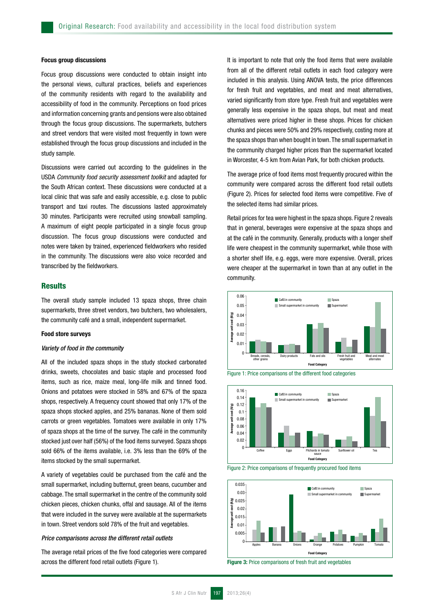#### Focus group discussions

Focus group discussions were conducted to obtain insight into the personal views, cultural practices, beliefs and experiences of the community residents with regard to the availability and accessibility of food in the community. Perceptions on food prices and information concerning grants and pensions were also obtained through the focus group discussions. The supermarkets, butchers and street vendors that were visited most frequently in town were established through the focus group discussions and included in the study sample.

Discussions were carried out according to the guidelines in the USDA *Community food security assessment toolkit* and adapted for the South African context. These discussions were conducted at a local clinic that was safe and easily accessible, e.g. close to public transport and taxi routes. The discussions lasted approximately 30 minutes. Participants were recruited using snowball sampling. A maximum of eight people participated in a single focus group discussion. The focus group discussions were conducted and notes were taken by trained, experienced fieldworkers who resided in the community. The discussions were also voice recorded and transcribed by the fieldworkers.

# **Results**

The overall study sample included 13 spaza shops, three chain supermarkets, three street vendors, two butchers, two wholesalers, the community café and a small, independent supermarket.

# Food store surveys

#### *Variety of food in the community*

All of the included spaza shops in the study stocked carbonated drinks, sweets, chocolates and basic staple and processed food items, such as rice, maize meal, long-life milk and tinned food. Onions and potatoes were stocked in 58% and 67% of the spaza shops, respectively. A frequency count showed that only 17% of the spaza shops stocked apples, and 25% bananas. None of them sold carrots or green vegetables. Tomatoes were available in only 17% of spaza shops at the time of the survey. The café in the community stocked just over half (56%) of the food items surveyed. Spaza shops sold 66% of the items available, i.e. 3% less than the 69% of the items stocked by the small supermarket.

A variety of vegetables could be purchased from the café and the small supermarket, including butternut, green beans, cucumber and cabbage. The small supermarket in the centre of the community sold chicken pieces, chicken chunks, offal and sausage. All of the items that were included in the survey were available at the supermarkets in town. Street vendors sold 78% of the fruit and vegetables.

# *Price comparisons across the different retail outlets*

The average retail prices of the five food categories were compared across the different food retail outlets (Figure 1).

It is important to note that only the food items that were available from all of the different retail outlets in each food category were included in this analysis. Using ANOVA tests, the price differences for fresh fruit and vegetables, and meat and meat alternatives, varied significantly from store type. Fresh fruit and vegetables were generally less expensive in the spaza shops, but meat and meat alternatives were priced higher in these shops. Prices for chicken chunks and pieces were 50% and 29% respectively, costing more at the spaza shops than when bought in town. The small supermarket in the community charged higher prices than the supermarket located in Worcester, 4-5 km from Avian Park, for both chicken products.

The average price of food items most frequently procured within the community were compared across the different food retail outlets (Figure 2). Prices for selected food items were competitive. Five of the selected items had similar prices.

Retail prices for tea were highest in the spaza shops. Figure 2 reveals that in general, beverages were expensive at the spaza shops and at the café in the community. Generally, products with a longer shelf life were cheapest in the community supermarket, while those with a shorter shelf life, e.g. eggs, were more expensive. Overall, prices were cheaper at the supermarket in town than at any outlet in the community.







Figure 2: Price comparisons of frequently procured food items

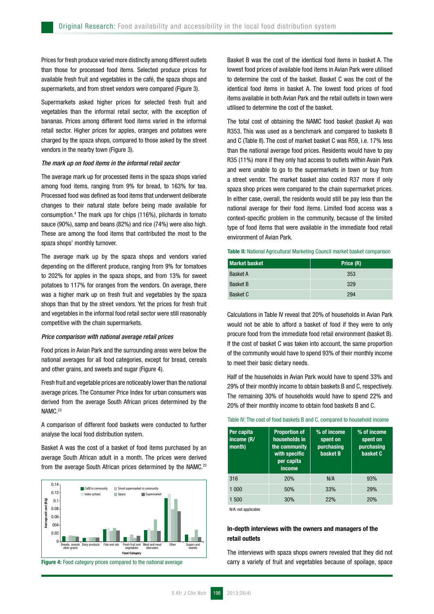Prices for fresh produce varied more distinctly among different outlets than those for processed food items. Selected produce prices for available fresh fruit and vegetables in the café, the spaza shops and supermarkets, and from street vendors were compared (Figure 3).

Supermarkets asked higher prices for selected fresh fruit and vegetables than the informal retail sector, with the exception of bananas. Prices among different food items varied in the informal retail sector. Higher prices for apples, oranges and potatoes were charged by the spaza shops, compared to those asked by the street vendors in the nearby town (Figure 3).

#### *The mark up on food items in the informal retail sector*

The average mark up for processed items in the spaza shops varied among food items, ranging from 9% for bread, to 163% for tea. Processed food was defined as food items that underwent deliberate changes to their natural state before being made available for consumption.4 The mark ups for chips (116%), pilchards in tomato sauce (90%), samp and beans (82%) and rice (74%) were also high. These are among the food items that contributed the most to the spaza shops' monthly turnover.

The average mark up by the spaza shops and vendors varied depending on the different produce, ranging from 9% for tomatoes to 202% for apples in the spaza shops, and from 13% for sweet potatoes to 117% for oranges from the vendors. On average, there was a higher mark up on fresh fruit and vegetables by the spaza shops than that by the street vendors. Yet the prices for fresh fruit and vegetables in the informal food retail sector were still reasonably competitive with the chain supermarkets.

#### *Price comparison with national average retail prices*

Food prices in Avian Park and the surrounding areas were below the national averages for all food categories, except for bread, cereals and other grains, and sweets and sugar (Figure 4).

Fresh fruit and vegetable prices are noticeably lower than the national average prices. The Consumer Price Index for urban consumers was derived from the average South African prices determined by the NAMC.<sup>23</sup>

A comparison of different food baskets were conducted to further analyse the local food distribution system.

Basket A was the cost of a basket of food items purchased by an average South African adult in a month. The prices were derived from the average South African prices determined by the NAMC.<sup>23</sup>



Figure 4: Food category prices compared to the national average

Basket B was the cost of the identical food items in basket A. The lowest food prices of available food items in Avian Park were utilised to determine the cost of the basket. Basket C was the cost of the identical food items in basket A. The lowest food prices of food items available in both Avian Park and the retail outlets in town were utilised to determine the cost of the basket.

The total cost of obtaining the NAMC food basket (basket A) was R353. This was used as a benchmark and compared to baskets B and C (Table II). The cost of market basket C was R59, i.e. 17% less than the national average food prices. Residents would have to pay R35 (11%) more if they only had access to outlets within Avain Park and were unable to go to the supermarkets in town or buy from a street vendor. The market basket also costed R37 more if only spaza shop prices were compared to the chain supermarket prices. In either case, overall, the residents would still be pay less than the national average for their food items. Limited food access was a context-specific problem in the community, because of the limited type of food items that were available in the immediate food retail environment of Avian Park.

#### Table II: National Agricultural Marketing Council market basket comparison

| <b>Market basket</b> | Price (R) |  |
|----------------------|-----------|--|
| <b>Basket A</b>      | 353       |  |
| <b>Basket B</b>      | 329       |  |
| <b>Basket C</b>      | 294       |  |

Calculations in Table IV reveal that 20% of households in Avian Park would not be able to afford a basket of food if they were to only procure food from the immediate food retail environment (basket B). If the cost of basket C was taken into account, the same proportion of the community would have to spend 93% of their monthly income to meet their basic dietary needs.

Half of the households in Avian Park would have to spend 33% and 29% of their monthly income to obtain baskets B and C, respectively. The remaining 30% of households would have to spend 22% and 20% of their monthly income to obtain food baskets B and C.

#### Table IV: The cost of food baskets B and C, compared to household income

| Per capita<br>income (R/<br>month) | <b>Proportion of</b><br>households in<br>the community<br>with specific<br>per capita<br>income | % of income<br>spent on<br>purchasing<br>basket B | % of income<br>spent on<br>purchasing<br>basket C |
|------------------------------------|-------------------------------------------------------------------------------------------------|---------------------------------------------------|---------------------------------------------------|
| 316                                | 20%                                                                                             | N/A                                               | 93%                                               |
| 1 000                              | 50%                                                                                             | 33%                                               | <b>29%</b>                                        |
| 1 500                              | 30%                                                                                             | <b>22%</b>                                        | 20%                                               |

N/A: not applicable

# In-depth interviews with the owners and managers of the retail outlets

The interviews with spaza shops owners revealed that they did not carry a variety of fruit and vegetables because of spoilage, space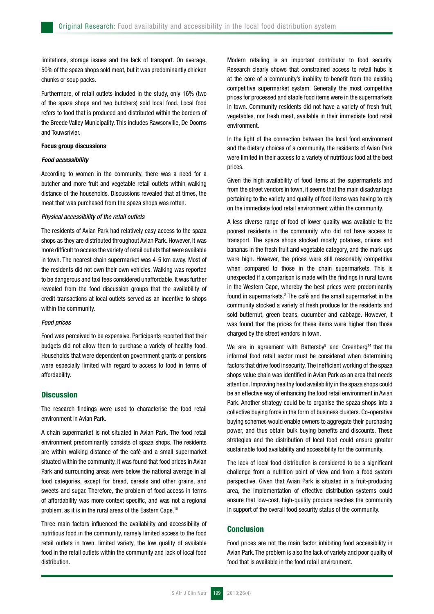limitations, storage issues and the lack of transport. On average, 50% of the spaza shops sold meat, but it was predominantly chicken chunks or soup packs.

Furthermore, of retail outlets included in the study, only 16% (two of the spaza shops and two butchers) sold local food. Local food refers to food that is produced and distributed within the borders of the Breede Valley Municipality. This includes Rawsonville, De Doorns and Touwsrivier.

## Focus group discussions

# *Food accessibility*

According to women in the community, there was a need for a butcher and more fruit and vegetable retail outlets within walking distance of the households. Discussions revealed that at times, the meat that was purchased from the spaza shops was rotten.

# *Physical accessibility of the retail outlets*

The residents of Avian Park had relatively easy access to the spaza shops as they are distributed throughout Avian Park. However, it was more difficult to access the variety of retail outlets that were available in town. The nearest chain supermarket was 4-5 km away. Most of the residents did not own their own vehicles. Walking was reported to be dangerous and taxi fees considered unaffordable. It was further revealed from the food discussion groups that the availability of credit transactions at local outlets served as an incentive to shops within the community.

#### *Food prices*

Food was perceived to be expensive. Participants reported that their budgets did not allow them to purchase a variety of healthy food. Households that were dependent on government grants or pensions were especially limited with regard to access to food in terms of affordability.

## **Discussion**

The research findings were used to characterise the food retail environment in Avian Park.

A chain supermarket is not situated in Avian Park. The food retail environment predominantly consists of spaza shops. The residents are within walking distance of the café and a small supermarket situated within the community. It was found that food prices in Avian Park and surrounding areas were below the national average in all food categories, except for bread, cereals and other grains, and sweets and sugar. Therefore, the problem of food access in terms of affordability was more context specific, and was not a regional problem, as it is in the rural areas of the Eastern Cape.10

Three main factors influenced the availability and accessibility of nutritious food in the community, namely limited access to the food retail outlets in town, limited variety, the low quality of available food in the retail outlets within the community and lack of local food distribution.

Modern retailing is an important contributor to food security. Research clearly shows that constrained access to retail hubs is at the core of a community's inability to benefit from the existing competitive supermarket system. Generally the most competitive prices for processed and staple food items were in the supermarkets in town. Community residents did not have a variety of fresh fruit, vegetables, nor fresh meat, available in their immediate food retail environment.

In the light of the connection between the local food environment and the dietary choices of a community, the residents of Avian Park were limited in their access to a variety of nutritious food at the best prices.

Given the high availability of food items at the supermarkets and from the street vendors in town, it seems that the main disadvantage pertaining to the variety and quality of food items was having to rely on the immediate food retail environment within the community.

A less diverse range of food of lower quality was available to the poorest residents in the community who did not have access to transport. The spaza shops stocked mostly potatoes, onions and bananas in the fresh fruit and vegetable category, and the mark ups were high. However, the prices were still reasonably competitive when compared to those in the chain supermarkets. This is unexpected if a comparison is made with the findings in rural towns in the Western Cape, whereby the best prices were predominantly found in supermarkets.<sup>2</sup> The café and the small supermarket in the community stocked a variety of fresh produce for the residents and sold butternut, green beans, cucumber and cabbage. However, it was found that the prices for these items were higher than those charged by the street vendors in town.

We are in agreement with Battersby<sup>8</sup> and Greenberg<sup>14</sup> that the informal food retail sector must be considered when determining factors that drive food insecurity. The inefficient working of the spaza shops value chain was identified in Avian Park as an area that needs attention. Improving healthy food availability in the spaza shops could be an effective way of enhancing the food retail environment in Avian Park. Another strategy could be to organise the spaza shops into a collective buying force in the form of business clusters. Co-operative buying schemes would enable owners to aggregate their purchasing power, and thus obtain bulk buying benefits and discounts. These strategies and the distribution of local food could ensure greater sustainable food availability and accessibility for the community.

The lack of local food distribution is considered to be a significant challenge from a nutrition point of view and from a food system perspective. Given that Avian Park is situated in a fruit-producing area, the implementation of effective distribution systems could ensure that low-cost, high-quality produce reaches the community in support of the overall food security status of the community.

# **Conclusion**

Food prices are not the main factor inhibiting food accessibility in Avian Park. The problem is also the lack of variety and poor quality of food that is available in the food retail environment.